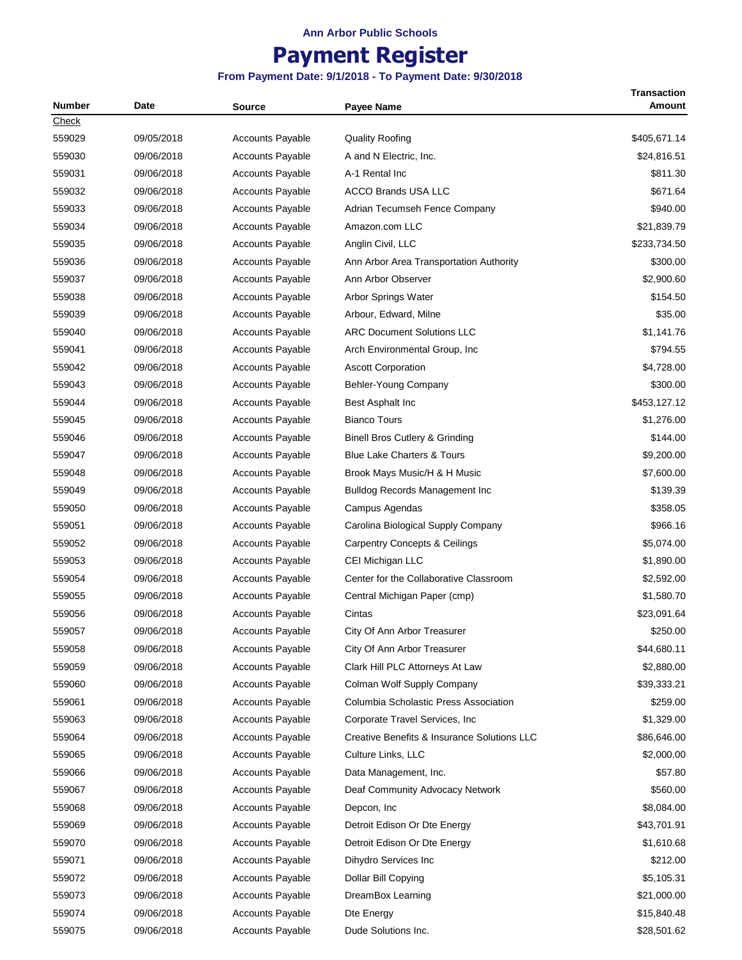# **Payment Register**

| <b>Number</b> | Date       | <b>Source</b>           | <b>Payee Name</b>                           | <b>Transaction</b><br><b>Amount</b> |
|---------------|------------|-------------------------|---------------------------------------------|-------------------------------------|
| Check         |            |                         |                                             |                                     |
| 559029        | 09/05/2018 | <b>Accounts Payable</b> | <b>Quality Roofing</b>                      | \$405,671.14                        |
| 559030        | 09/06/2018 | <b>Accounts Payable</b> | A and N Electric, Inc.                      | \$24,816.51                         |
| 559031        | 09/06/2018 | <b>Accounts Payable</b> | A-1 Rental Inc                              | \$811.30                            |
| 559032        | 09/06/2018 | <b>Accounts Payable</b> | <b>ACCO Brands USA LLC</b>                  | \$671.64                            |
| 559033        | 09/06/2018 | <b>Accounts Payable</b> | Adrian Tecumseh Fence Company               | \$940.00                            |
| 559034        | 09/06/2018 | <b>Accounts Payable</b> | Amazon.com LLC                              | \$21,839.79                         |
| 559035        | 09/06/2018 | <b>Accounts Payable</b> | Anglin Civil, LLC                           | \$233,734.50                        |
| 559036        | 09/06/2018 | <b>Accounts Payable</b> | Ann Arbor Area Transportation Authority     | \$300.00                            |
| 559037        | 09/06/2018 | <b>Accounts Payable</b> | Ann Arbor Observer                          | \$2,900.60                          |
| 559038        | 09/06/2018 | <b>Accounts Payable</b> | Arbor Springs Water                         | \$154.50                            |
| 559039        | 09/06/2018 | <b>Accounts Payable</b> | Arbour, Edward, Milne                       | \$35.00                             |
| 559040        | 09/06/2018 | <b>Accounts Payable</b> | <b>ARC Document Solutions LLC</b>           | \$1,141.76                          |
| 559041        | 09/06/2018 | <b>Accounts Payable</b> | Arch Environmental Group, Inc.              | \$794.55                            |
| 559042        | 09/06/2018 | <b>Accounts Payable</b> | <b>Ascott Corporation</b>                   | \$4,728.00                          |
| 559043        | 09/06/2018 | <b>Accounts Payable</b> | Behler-Young Company                        | \$300.00                            |
| 559044        | 09/06/2018 | <b>Accounts Payable</b> | Best Asphalt Inc                            | \$453,127.12                        |
| 559045        | 09/06/2018 | <b>Accounts Payable</b> | <b>Bianco Tours</b>                         | \$1,276.00                          |
| 559046        | 09/06/2018 | <b>Accounts Payable</b> | Binell Bros Cutlery & Grinding              | \$144.00                            |
| 559047        | 09/06/2018 | <b>Accounts Payable</b> | <b>Blue Lake Charters &amp; Tours</b>       | \$9,200.00                          |
| 559048        | 09/06/2018 | <b>Accounts Payable</b> | Brook Mays Music/H & H Music                | \$7,600.00                          |
| 559049        | 09/06/2018 | <b>Accounts Payable</b> | Bulldog Records Management Inc              | \$139.39                            |
| 559050        | 09/06/2018 | <b>Accounts Payable</b> | Campus Agendas                              | \$358.05                            |
| 559051        | 09/06/2018 | <b>Accounts Payable</b> | Carolina Biological Supply Company          | \$966.16                            |
| 559052        | 09/06/2018 | <b>Accounts Payable</b> | <b>Carpentry Concepts &amp; Ceilings</b>    | \$5,074.00                          |
| 559053        | 09/06/2018 | <b>Accounts Payable</b> | CEI Michigan LLC                            | \$1,890.00                          |
| 559054        | 09/06/2018 | <b>Accounts Payable</b> | Center for the Collaborative Classroom      | \$2,592.00                          |
| 559055        | 09/06/2018 | <b>Accounts Payable</b> | Central Michigan Paper (cmp)                | \$1,580.70                          |
| 559056        | 09/06/2018 | <b>Accounts Payable</b> | Cintas                                      | \$23,091.64                         |
| 559057        | 09/06/2018 | <b>Accounts Payable</b> | City Of Ann Arbor Treasurer                 | \$250.00                            |
| 559058        | 09/06/2018 | <b>Accounts Payable</b> | City Of Ann Arbor Treasurer                 | \$44,680.11                         |
| 559059        | 09/06/2018 | <b>Accounts Payable</b> | Clark Hill PLC Attorneys At Law             | \$2,880.00                          |
| 559060        | 09/06/2018 | <b>Accounts Payable</b> | Colman Wolf Supply Company                  | \$39,333.21                         |
| 559061        | 09/06/2018 | <b>Accounts Payable</b> | Columbia Scholastic Press Association       | \$259.00                            |
| 559063        | 09/06/2018 | <b>Accounts Payable</b> | Corporate Travel Services, Inc              | \$1,329.00                          |
| 559064        | 09/06/2018 | <b>Accounts Payable</b> | Creative Benefits & Insurance Solutions LLC | \$86,646.00                         |
| 559065        | 09/06/2018 | <b>Accounts Payable</b> | Culture Links, LLC                          | \$2,000.00                          |
| 559066        | 09/06/2018 | <b>Accounts Payable</b> | Data Management, Inc.                       | \$57.80                             |
| 559067        | 09/06/2018 | <b>Accounts Payable</b> | Deaf Community Advocacy Network             | \$560.00                            |
| 559068        | 09/06/2018 | Accounts Payable        | Depcon, Inc.                                | \$8,084.00                          |
| 559069        | 09/06/2018 | Accounts Payable        | Detroit Edison Or Dte Energy                | \$43,701.91                         |
| 559070        | 09/06/2018 | <b>Accounts Payable</b> | Detroit Edison Or Dte Energy                | \$1,610.68                          |
| 559071        | 09/06/2018 | <b>Accounts Payable</b> | Dihydro Services Inc                        | \$212.00                            |
| 559072        | 09/06/2018 | <b>Accounts Payable</b> | Dollar Bill Copying                         | \$5,105.31                          |
| 559073        | 09/06/2018 | Accounts Payable        | DreamBox Learning                           | \$21,000.00                         |
| 559074        | 09/06/2018 | <b>Accounts Payable</b> | Dte Energy                                  | \$15,840.48                         |
| 559075        | 09/06/2018 | <b>Accounts Payable</b> | Dude Solutions Inc.                         | \$28,501.62                         |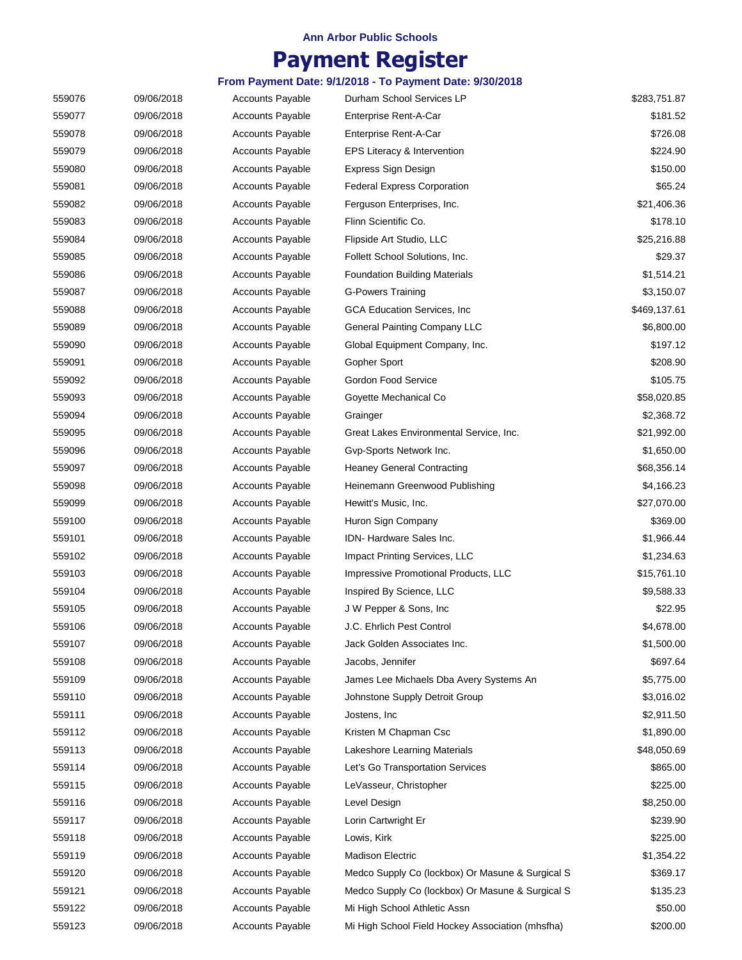# **Payment Register**

| 559076 | 09/06/2018 | <b>Accounts Payable</b> | Durham School Services LP                        | \$283,751.87 |
|--------|------------|-------------------------|--------------------------------------------------|--------------|
| 559077 | 09/06/2018 | <b>Accounts Payable</b> | Enterprise Rent-A-Car                            | \$181.52     |
| 559078 | 09/06/2018 | <b>Accounts Payable</b> | Enterprise Rent-A-Car                            | \$726.08     |
| 559079 | 09/06/2018 | <b>Accounts Payable</b> | EPS Literacy & Intervention                      | \$224.90     |
| 559080 | 09/06/2018 | <b>Accounts Payable</b> | Express Sign Design                              | \$150.00     |
| 559081 | 09/06/2018 | <b>Accounts Payable</b> | <b>Federal Express Corporation</b>               | \$65.24      |
| 559082 | 09/06/2018 | <b>Accounts Payable</b> | Ferguson Enterprises, Inc.                       | \$21,406.36  |
| 559083 | 09/06/2018 | <b>Accounts Payable</b> | Flinn Scientific Co.                             | \$178.10     |
| 559084 | 09/06/2018 | Accounts Payable        | Flipside Art Studio, LLC                         | \$25,216.88  |
| 559085 | 09/06/2018 | <b>Accounts Payable</b> | Follett School Solutions, Inc.                   | \$29.37      |
| 559086 | 09/06/2018 | <b>Accounts Payable</b> | <b>Foundation Building Materials</b>             | \$1,514.21   |
| 559087 | 09/06/2018 | <b>Accounts Payable</b> | <b>G-Powers Training</b>                         | \$3,150.07   |
| 559088 | 09/06/2018 | <b>Accounts Payable</b> | GCA Education Services, Inc.                     | \$469,137.61 |
| 559089 | 09/06/2018 | <b>Accounts Payable</b> | <b>General Painting Company LLC</b>              | \$6,800.00   |
| 559090 | 09/06/2018 | <b>Accounts Payable</b> | Global Equipment Company, Inc.                   | \$197.12     |
| 559091 | 09/06/2018 | <b>Accounts Payable</b> | Gopher Sport                                     | \$208.90     |
| 559092 | 09/06/2018 | <b>Accounts Payable</b> | Gordon Food Service                              | \$105.75     |
| 559093 | 09/06/2018 | Accounts Payable        | Goyette Mechanical Co                            | \$58,020.85  |
| 559094 | 09/06/2018 | <b>Accounts Payable</b> | Grainger                                         | \$2,368.72   |
| 559095 | 09/06/2018 | <b>Accounts Payable</b> | Great Lakes Environmental Service, Inc.          | \$21,992.00  |
| 559096 | 09/06/2018 | Accounts Payable        | Gvp-Sports Network Inc.                          | \$1,650.00   |
| 559097 | 09/06/2018 | <b>Accounts Payable</b> | <b>Heaney General Contracting</b>                | \$68,356.14  |
| 559098 | 09/06/2018 | <b>Accounts Payable</b> | Heinemann Greenwood Publishing                   | \$4,166.23   |
| 559099 | 09/06/2018 | <b>Accounts Payable</b> | Hewitt's Music, Inc.                             | \$27,070.00  |
| 559100 | 09/06/2018 | <b>Accounts Payable</b> | Huron Sign Company                               | \$369.00     |
| 559101 | 09/06/2018 | <b>Accounts Payable</b> | IDN-Hardware Sales Inc.                          | \$1,966.44   |
| 559102 | 09/06/2018 | <b>Accounts Payable</b> | Impact Printing Services, LLC                    | \$1,234.63   |
| 559103 | 09/06/2018 | <b>Accounts Payable</b> | Impressive Promotional Products, LLC             | \$15,761.10  |
| 559104 | 09/06/2018 | <b>Accounts Payable</b> | Inspired By Science, LLC                         | \$9,588.33   |
| 559105 | 09/06/2018 | <b>Accounts Payable</b> | J W Pepper & Sons, Inc                           | \$22.95      |
| 559106 | 09/06/2018 | <b>Accounts Payable</b> | J.C. Ehrlich Pest Control                        | \$4,678.00   |
| 559107 | 09/06/2018 | <b>Accounts Payable</b> | Jack Golden Associates Inc.                      | \$1,500.00   |
| 559108 | 09/06/2018 | <b>Accounts Payable</b> | Jacobs, Jennifer                                 | \$697.64     |
| 559109 | 09/06/2018 | <b>Accounts Payable</b> | James Lee Michaels Dba Avery Systems An          | \$5,775.00   |
| 559110 | 09/06/2018 | <b>Accounts Payable</b> | Johnstone Supply Detroit Group                   | \$3,016.02   |
| 559111 | 09/06/2018 | <b>Accounts Payable</b> | Jostens, Inc.                                    | \$2,911.50   |
| 559112 | 09/06/2018 | <b>Accounts Payable</b> | Kristen M Chapman Csc                            | \$1,890.00   |
| 559113 | 09/06/2018 | <b>Accounts Payable</b> | Lakeshore Learning Materials                     | \$48,050.69  |
| 559114 | 09/06/2018 | <b>Accounts Payable</b> | Let's Go Transportation Services                 | \$865.00     |
| 559115 | 09/06/2018 | <b>Accounts Payable</b> | LeVasseur, Christopher                           | \$225.00     |
| 559116 | 09/06/2018 | <b>Accounts Payable</b> | Level Design                                     | \$8,250.00   |
| 559117 | 09/06/2018 | <b>Accounts Payable</b> | Lorin Cartwright Er                              | \$239.90     |
| 559118 | 09/06/2018 | <b>Accounts Payable</b> | Lowis, Kirk                                      | \$225.00     |
| 559119 | 09/06/2018 | <b>Accounts Payable</b> | <b>Madison Electric</b>                          | \$1,354.22   |
| 559120 | 09/06/2018 | <b>Accounts Payable</b> | Medco Supply Co (lockbox) Or Masune & Surgical S | \$369.17     |
| 559121 | 09/06/2018 | <b>Accounts Payable</b> | Medco Supply Co (lockbox) Or Masune & Surgical S | \$135.23     |
| 559122 | 09/06/2018 | <b>Accounts Payable</b> | Mi High School Athletic Assn                     | \$50.00      |
| 559123 | 09/06/2018 | <b>Accounts Payable</b> | Mi High School Field Hockey Association (mhsfha) | \$200.00     |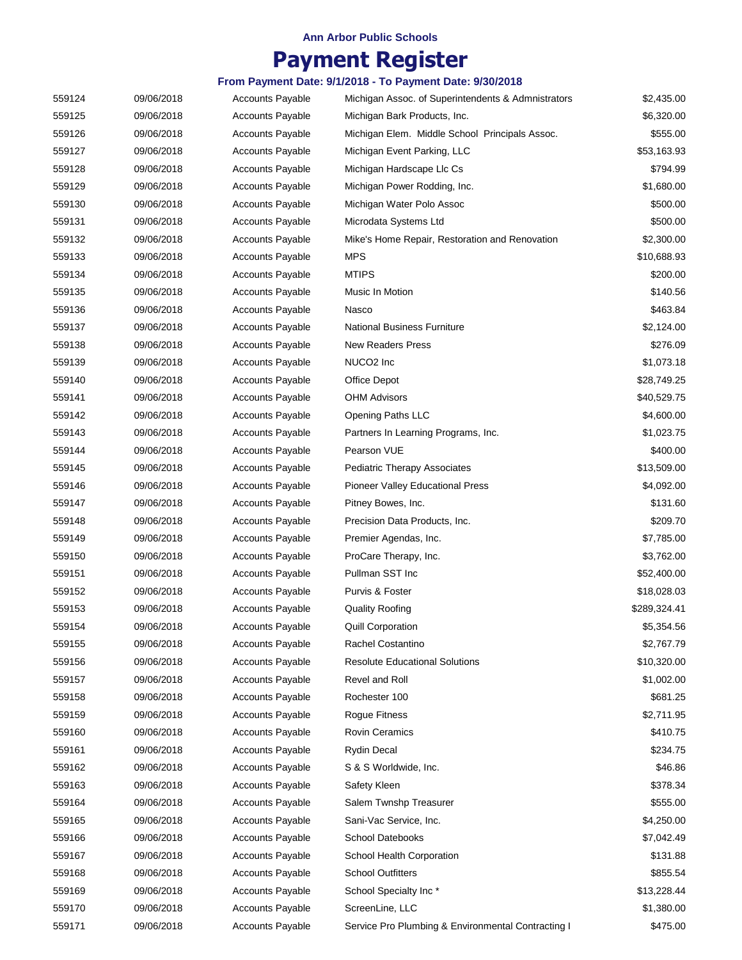## **Payment Register**

| 559124 | 09/06/2018 | <b>Accounts Payable</b> | Michigan Assoc. of Superintendents & Admnistrators | \$2,435.00   |
|--------|------------|-------------------------|----------------------------------------------------|--------------|
| 559125 | 09/06/2018 | <b>Accounts Payable</b> | Michigan Bark Products, Inc.                       | \$6,320.00   |
| 559126 | 09/06/2018 | Accounts Payable        | Michigan Elem. Middle School Principals Assoc.     | \$555.00     |
| 559127 | 09/06/2018 | <b>Accounts Payable</b> | Michigan Event Parking, LLC                        | \$53,163.93  |
| 559128 | 09/06/2018 | <b>Accounts Payable</b> | Michigan Hardscape Llc Cs                          | \$794.99     |
| 559129 | 09/06/2018 | <b>Accounts Payable</b> | Michigan Power Rodding, Inc.                       | \$1,680.00   |
| 559130 | 09/06/2018 | <b>Accounts Payable</b> | Michigan Water Polo Assoc                          | \$500.00     |
| 559131 | 09/06/2018 | <b>Accounts Payable</b> | Microdata Systems Ltd                              | \$500.00     |
| 559132 | 09/06/2018 | <b>Accounts Payable</b> | Mike's Home Repair, Restoration and Renovation     | \$2,300.00   |
| 559133 | 09/06/2018 | <b>Accounts Payable</b> | <b>MPS</b>                                         | \$10,688.93  |
| 559134 | 09/06/2018 | <b>Accounts Payable</b> | <b>MTIPS</b>                                       | \$200.00     |
|        |            |                         |                                                    |              |
| 559135 | 09/06/2018 | <b>Accounts Payable</b> | Music In Motion                                    | \$140.56     |
| 559136 | 09/06/2018 | <b>Accounts Payable</b> | Nasco                                              | \$463.84     |
| 559137 | 09/06/2018 | <b>Accounts Payable</b> | <b>National Business Furniture</b>                 | \$2,124.00   |
| 559138 | 09/06/2018 | <b>Accounts Payable</b> | <b>New Readers Press</b>                           | \$276.09     |
| 559139 | 09/06/2018 | <b>Accounts Payable</b> | NUCO <sub>2</sub> Inc                              | \$1,073.18   |
| 559140 | 09/06/2018 | <b>Accounts Payable</b> | Office Depot                                       | \$28,749.25  |
| 559141 | 09/06/2018 | <b>Accounts Payable</b> | <b>OHM Advisors</b>                                | \$40,529.75  |
| 559142 | 09/06/2018 | <b>Accounts Payable</b> | <b>Opening Paths LLC</b>                           | \$4,600.00   |
| 559143 | 09/06/2018 | <b>Accounts Payable</b> | Partners In Learning Programs, Inc.                | \$1,023.75   |
| 559144 | 09/06/2018 | <b>Accounts Payable</b> | Pearson VUE                                        | \$400.00     |
| 559145 | 09/06/2018 | <b>Accounts Payable</b> | <b>Pediatric Therapy Associates</b>                | \$13,509.00  |
| 559146 | 09/06/2018 | <b>Accounts Payable</b> | Pioneer Valley Educational Press                   | \$4,092.00   |
| 559147 | 09/06/2018 | <b>Accounts Payable</b> | Pitney Bowes, Inc.                                 | \$131.60     |
| 559148 | 09/06/2018 | <b>Accounts Payable</b> | Precision Data Products, Inc.                      | \$209.70     |
| 559149 | 09/06/2018 | <b>Accounts Payable</b> | Premier Agendas, Inc.                              | \$7,785.00   |
| 559150 | 09/06/2018 | <b>Accounts Payable</b> | ProCare Therapy, Inc.                              | \$3,762.00   |
| 559151 | 09/06/2018 | <b>Accounts Payable</b> | Pullman SST Inc                                    | \$52,400.00  |
| 559152 | 09/06/2018 | <b>Accounts Payable</b> | Purvis & Foster                                    | \$18,028.03  |
| 559153 | 09/06/2018 | <b>Accounts Payable</b> | <b>Quality Roofing</b>                             | \$289,324.41 |
| 559154 | 09/06/2018 | <b>Accounts Payable</b> | Quill Corporation                                  | \$5,354.56   |
| 559155 | 09/06/2018 | <b>Accounts Payable</b> | Rachel Costantino                                  | \$2,767.79   |
| 559156 | 09/06/2018 | <b>Accounts Payable</b> | <b>Resolute Educational Solutions</b>              | \$10,320.00  |
| 559157 | 09/06/2018 | <b>Accounts Payable</b> | Revel and Roll                                     | \$1,002.00   |
| 559158 | 09/06/2018 | <b>Accounts Payable</b> | Rochester 100                                      | \$681.25     |
| 559159 | 09/06/2018 | <b>Accounts Payable</b> | <b>Rogue Fitness</b>                               | \$2,711.95   |
| 559160 | 09/06/2018 | <b>Accounts Payable</b> | <b>Rovin Ceramics</b>                              | \$410.75     |
|        |            |                         | <b>Rydin Decal</b>                                 | \$234.75     |
| 559161 | 09/06/2018 | <b>Accounts Payable</b> |                                                    |              |
| 559162 | 09/06/2018 | <b>Accounts Payable</b> | S & S Worldwide, Inc.                              | \$46.86      |
| 559163 | 09/06/2018 | <b>Accounts Payable</b> | Safety Kleen                                       | \$378.34     |
| 559164 | 09/06/2018 | <b>Accounts Payable</b> | Salem Twnshp Treasurer                             | \$555.00     |
| 559165 | 09/06/2018 | <b>Accounts Payable</b> | Sani-Vac Service, Inc.                             | \$4,250.00   |
| 559166 | 09/06/2018 | <b>Accounts Payable</b> | School Datebooks                                   | \$7,042.49   |
| 559167 | 09/06/2018 | <b>Accounts Payable</b> | School Health Corporation                          | \$131.88     |
| 559168 | 09/06/2018 | <b>Accounts Payable</b> | <b>School Outfitters</b>                           | \$855.54     |
| 559169 | 09/06/2018 | <b>Accounts Payable</b> | School Specialty Inc*                              | \$13,228.44  |
| 559170 | 09/06/2018 | <b>Accounts Payable</b> | ScreenLine, LLC                                    | \$1,380.00   |
| 559171 | 09/06/2018 | <b>Accounts Payable</b> | Service Pro Plumbing & Environmental Contracting I | \$475.00     |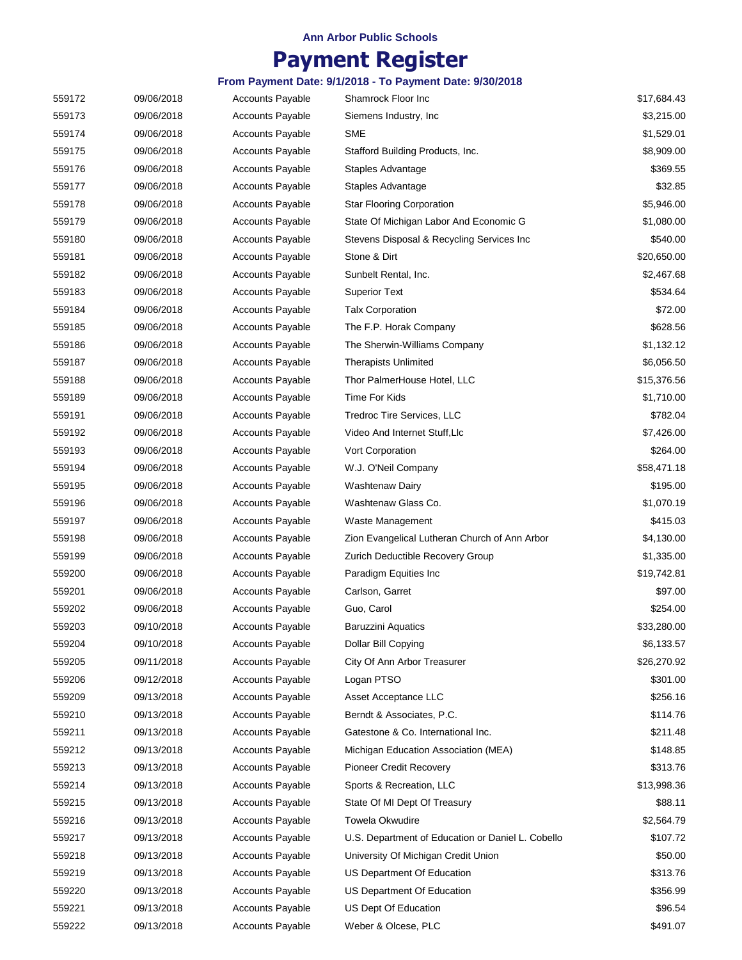# **Payment Register**

| 559172 | 09/06/2018 | <b>Accounts Payable</b> | Shamrock Floor Inc                                | \$17,684.43 |
|--------|------------|-------------------------|---------------------------------------------------|-------------|
| 559173 | 09/06/2018 | Accounts Payable        | Siemens Industry, Inc.                            | \$3,215.00  |
| 559174 | 09/06/2018 | Accounts Payable        | <b>SME</b>                                        | \$1,529.01  |
| 559175 | 09/06/2018 | <b>Accounts Payable</b> | Stafford Building Products, Inc.                  | \$8,909.00  |
| 559176 | 09/06/2018 | <b>Accounts Payable</b> | Staples Advantage                                 | \$369.55    |
| 559177 | 09/06/2018 | Accounts Payable        | Staples Advantage                                 | \$32.85     |
| 559178 | 09/06/2018 | <b>Accounts Payable</b> | <b>Star Flooring Corporation</b>                  | \$5,946.00  |
| 559179 | 09/06/2018 | <b>Accounts Payable</b> | State Of Michigan Labor And Economic G            | \$1,080.00  |
| 559180 | 09/06/2018 | <b>Accounts Payable</b> | Stevens Disposal & Recycling Services Inc         | \$540.00    |
| 559181 | 09/06/2018 | <b>Accounts Payable</b> | Stone & Dirt                                      | \$20,650.00 |
| 559182 | 09/06/2018 | <b>Accounts Payable</b> | Sunbelt Rental, Inc.                              | \$2,467.68  |
| 559183 | 09/06/2018 | <b>Accounts Payable</b> | <b>Superior Text</b>                              | \$534.64    |
| 559184 | 09/06/2018 | <b>Accounts Payable</b> | <b>Talx Corporation</b>                           | \$72.00     |
| 559185 | 09/06/2018 | <b>Accounts Payable</b> | The F.P. Horak Company                            | \$628.56    |
| 559186 | 09/06/2018 | Accounts Payable        | The Sherwin-Williams Company                      | \$1,132.12  |
| 559187 | 09/06/2018 | <b>Accounts Payable</b> | <b>Therapists Unlimited</b>                       | \$6,056.50  |
| 559188 | 09/06/2018 | <b>Accounts Payable</b> | Thor PalmerHouse Hotel, LLC                       | \$15,376.56 |
| 559189 | 09/06/2018 | Accounts Payable        | Time For Kids                                     | \$1,710.00  |
| 559191 | 09/06/2018 | <b>Accounts Payable</b> | Tredroc Tire Services, LLC                        | \$782.04    |
| 559192 | 09/06/2018 | <b>Accounts Payable</b> | Video And Internet Stuff, Llc                     | \$7,426.00  |
| 559193 | 09/06/2018 | Accounts Payable        | Vort Corporation                                  | \$264.00    |
| 559194 | 09/06/2018 | Accounts Payable        | W.J. O'Neil Company                               | \$58,471.18 |
| 559195 | 09/06/2018 | <b>Accounts Payable</b> | <b>Washtenaw Dairy</b>                            | \$195.00    |
| 559196 | 09/06/2018 | <b>Accounts Payable</b> | Washtenaw Glass Co.                               | \$1,070.19  |
| 559197 | 09/06/2018 | <b>Accounts Payable</b> | Waste Management                                  | \$415.03    |
| 559198 | 09/06/2018 | <b>Accounts Payable</b> | Zion Evangelical Lutheran Church of Ann Arbor     | \$4,130.00  |
| 559199 | 09/06/2018 | <b>Accounts Payable</b> | Zurich Deductible Recovery Group                  | \$1,335.00  |
| 559200 | 09/06/2018 | <b>Accounts Payable</b> | Paradigm Equities Inc                             | \$19,742.81 |
| 559201 | 09/06/2018 | <b>Accounts Payable</b> | Carlson, Garret                                   | \$97.00     |
| 559202 | 09/06/2018 | <b>Accounts Payable</b> | Guo, Carol                                        | \$254.00    |
| 559203 | 09/10/2018 | Accounts Payable        | <b>Baruzzini Aquatics</b>                         | \$33,280.00 |
| 559204 | 09/10/2018 | <b>Accounts Payable</b> | Dollar Bill Copying                               | \$6,133.57  |
| 559205 | 09/11/2018 | <b>Accounts Payable</b> | City Of Ann Arbor Treasurer                       | \$26,270.92 |
| 559206 | 09/12/2018 | <b>Accounts Payable</b> | Logan PTSO                                        | \$301.00    |
| 559209 | 09/13/2018 | Accounts Payable        | Asset Acceptance LLC                              | \$256.16    |
| 559210 | 09/13/2018 | <b>Accounts Payable</b> | Berndt & Associates, P.C.                         | \$114.76    |
| 559211 | 09/13/2018 | <b>Accounts Payable</b> | Gatestone & Co. International Inc.                | \$211.48    |
| 559212 | 09/13/2018 | Accounts Payable        | Michigan Education Association (MEA)              | \$148.85    |
| 559213 | 09/13/2018 | <b>Accounts Payable</b> | Pioneer Credit Recovery                           | \$313.76    |
| 559214 | 09/13/2018 | <b>Accounts Payable</b> | Sports & Recreation, LLC                          | \$13,998.36 |
| 559215 | 09/13/2018 | <b>Accounts Payable</b> | State Of MI Dept Of Treasury                      | \$88.11     |
| 559216 | 09/13/2018 | <b>Accounts Payable</b> | <b>Towela Okwudire</b>                            | \$2,564.79  |
| 559217 | 09/13/2018 | <b>Accounts Payable</b> | U.S. Department of Education or Daniel L. Cobello | \$107.72    |
| 559218 | 09/13/2018 | Accounts Payable        | University Of Michigan Credit Union               | \$50.00     |
| 559219 | 09/13/2018 | <b>Accounts Payable</b> | US Department Of Education                        | \$313.76    |
| 559220 | 09/13/2018 | <b>Accounts Payable</b> | US Department Of Education                        | \$356.99    |
| 559221 | 09/13/2018 | <b>Accounts Payable</b> | US Dept Of Education                              | \$96.54     |
| 559222 | 09/13/2018 | <b>Accounts Payable</b> | Weber & Olcese, PLC                               | \$491.07    |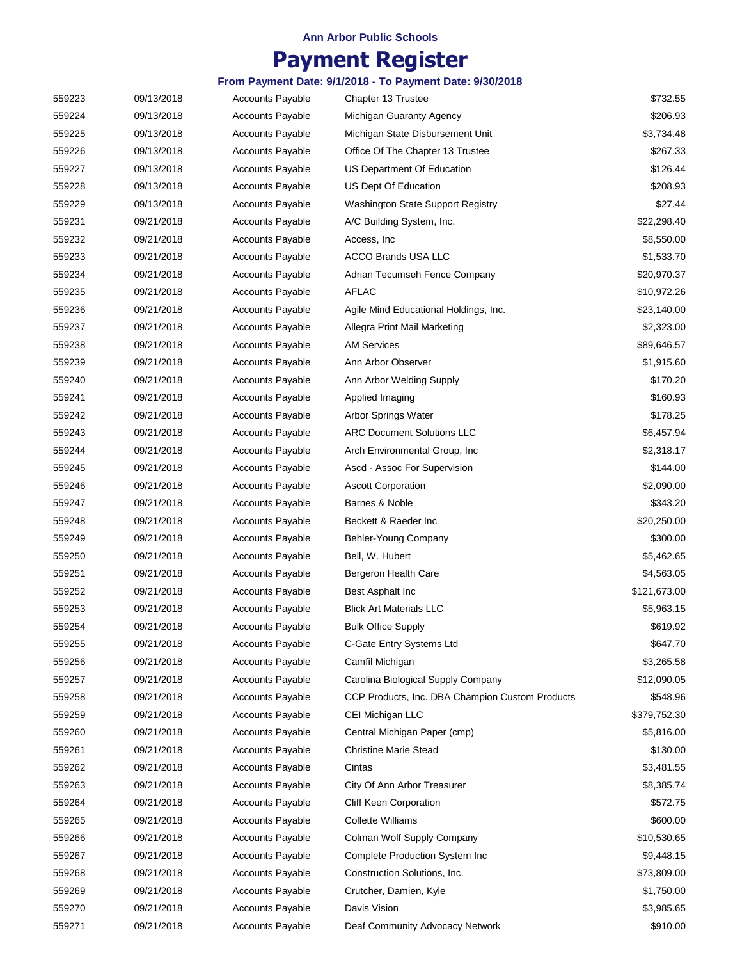# **Payment Register**

| 559223 | 09/13/2018 | <b>Accounts Payable</b> | Chapter 13 Trustee                              | \$732.55     |
|--------|------------|-------------------------|-------------------------------------------------|--------------|
| 559224 | 09/13/2018 | <b>Accounts Payable</b> | Michigan Guaranty Agency                        | \$206.93     |
| 559225 | 09/13/2018 | <b>Accounts Payable</b> | Michigan State Disbursement Unit                | \$3,734.48   |
| 559226 | 09/13/2018 | <b>Accounts Payable</b> | Office Of The Chapter 13 Trustee                | \$267.33     |
| 559227 | 09/13/2018 | <b>Accounts Payable</b> | US Department Of Education                      | \$126.44     |
| 559228 | 09/13/2018 | <b>Accounts Payable</b> | US Dept Of Education                            | \$208.93     |
| 559229 | 09/13/2018 | <b>Accounts Payable</b> | Washington State Support Registry               | \$27.44      |
| 559231 | 09/21/2018 | <b>Accounts Payable</b> | A/C Building System, Inc.                       | \$22,298.40  |
| 559232 | 09/21/2018 | <b>Accounts Payable</b> | Access, Inc.                                    | \$8,550.00   |
| 559233 | 09/21/2018 | <b>Accounts Payable</b> | <b>ACCO Brands USA LLC</b>                      | \$1,533.70   |
| 559234 | 09/21/2018 | <b>Accounts Payable</b> | Adrian Tecumseh Fence Company                   | \$20,970.37  |
| 559235 | 09/21/2018 | <b>Accounts Payable</b> | AFLAC                                           | \$10,972.26  |
| 559236 | 09/21/2018 | <b>Accounts Payable</b> | Agile Mind Educational Holdings, Inc.           | \$23,140.00  |
| 559237 | 09/21/2018 | <b>Accounts Payable</b> | Allegra Print Mail Marketing                    | \$2,323.00   |
| 559238 | 09/21/2018 | <b>Accounts Payable</b> | <b>AM Services</b>                              | \$89,646.57  |
| 559239 | 09/21/2018 | <b>Accounts Payable</b> | Ann Arbor Observer                              | \$1,915.60   |
| 559240 | 09/21/2018 | <b>Accounts Payable</b> | Ann Arbor Welding Supply                        | \$170.20     |
| 559241 | 09/21/2018 | Accounts Payable        | Applied Imaging                                 | \$160.93     |
| 559242 | 09/21/2018 | <b>Accounts Payable</b> | Arbor Springs Water                             | \$178.25     |
| 559243 | 09/21/2018 | <b>Accounts Payable</b> | <b>ARC Document Solutions LLC</b>               | \$6,457.94   |
| 559244 | 09/21/2018 | <b>Accounts Payable</b> | Arch Environmental Group, Inc                   | \$2,318.17   |
| 559245 | 09/21/2018 | <b>Accounts Payable</b> | Ascd - Assoc For Supervision                    | \$144.00     |
| 559246 | 09/21/2018 | <b>Accounts Payable</b> | <b>Ascott Corporation</b>                       | \$2,090.00   |
| 559247 | 09/21/2018 | <b>Accounts Payable</b> | Barnes & Noble                                  | \$343.20     |
| 559248 | 09/21/2018 | <b>Accounts Payable</b> | Beckett & Raeder Inc                            | \$20,250.00  |
| 559249 | 09/21/2018 | <b>Accounts Payable</b> | Behler-Young Company                            | \$300.00     |
| 559250 | 09/21/2018 | <b>Accounts Payable</b> | Bell, W. Hubert                                 | \$5,462.65   |
| 559251 | 09/21/2018 | <b>Accounts Payable</b> | Bergeron Health Care                            | \$4,563.05   |
| 559252 | 09/21/2018 | <b>Accounts Payable</b> | Best Asphalt Inc                                | \$121,673.00 |
| 559253 | 09/21/2018 | <b>Accounts Payable</b> | <b>Blick Art Materials LLC</b>                  | \$5,963.15   |
| 559254 | 09/21/2018 | <b>Accounts Payable</b> | <b>Bulk Office Supply</b>                       | \$619.92     |
| 559255 | 09/21/2018 | <b>Accounts Payable</b> | C-Gate Entry Systems Ltd                        | \$647.70     |
| 559256 | 09/21/2018 | <b>Accounts Payable</b> | Camfil Michigan                                 | \$3,265.58   |
| 559257 | 09/21/2018 | <b>Accounts Payable</b> | Carolina Biological Supply Company              | \$12,090.05  |
| 559258 |            |                         |                                                 | \$548.96     |
|        | 09/21/2018 | <b>Accounts Payable</b> | CCP Products, Inc. DBA Champion Custom Products |              |
| 559259 | 09/21/2018 | <b>Accounts Payable</b> | CEI Michigan LLC                                | \$379,752.30 |
| 559260 | 09/21/2018 | <b>Accounts Payable</b> | Central Michigan Paper (cmp)                    | \$5,816.00   |
| 559261 | 09/21/2018 | <b>Accounts Payable</b> | <b>Christine Marie Stead</b>                    | \$130.00     |
| 559262 | 09/21/2018 | <b>Accounts Payable</b> | Cintas                                          | \$3,481.55   |
| 559263 | 09/21/2018 | <b>Accounts Payable</b> | City Of Ann Arbor Treasurer                     | \$8,385.74   |
| 559264 | 09/21/2018 | <b>Accounts Payable</b> | <b>Cliff Keen Corporation</b>                   | \$572.75     |
| 559265 | 09/21/2018 | <b>Accounts Payable</b> | <b>Collette Williams</b>                        | \$600.00     |
| 559266 | 09/21/2018 | <b>Accounts Payable</b> | Colman Wolf Supply Company                      | \$10,530.65  |
| 559267 | 09/21/2018 | <b>Accounts Payable</b> | Complete Production System Inc                  | \$9,448.15   |
| 559268 | 09/21/2018 | <b>Accounts Payable</b> | Construction Solutions, Inc.                    | \$73,809.00  |
| 559269 | 09/21/2018 | <b>Accounts Payable</b> | Crutcher, Damien, Kyle                          | \$1,750.00   |
| 559270 | 09/21/2018 | <b>Accounts Payable</b> | Davis Vision                                    | \$3,985.65   |
| 559271 | 09/21/2018 | <b>Accounts Payable</b> | Deaf Community Advocacy Network                 | \$910.00     |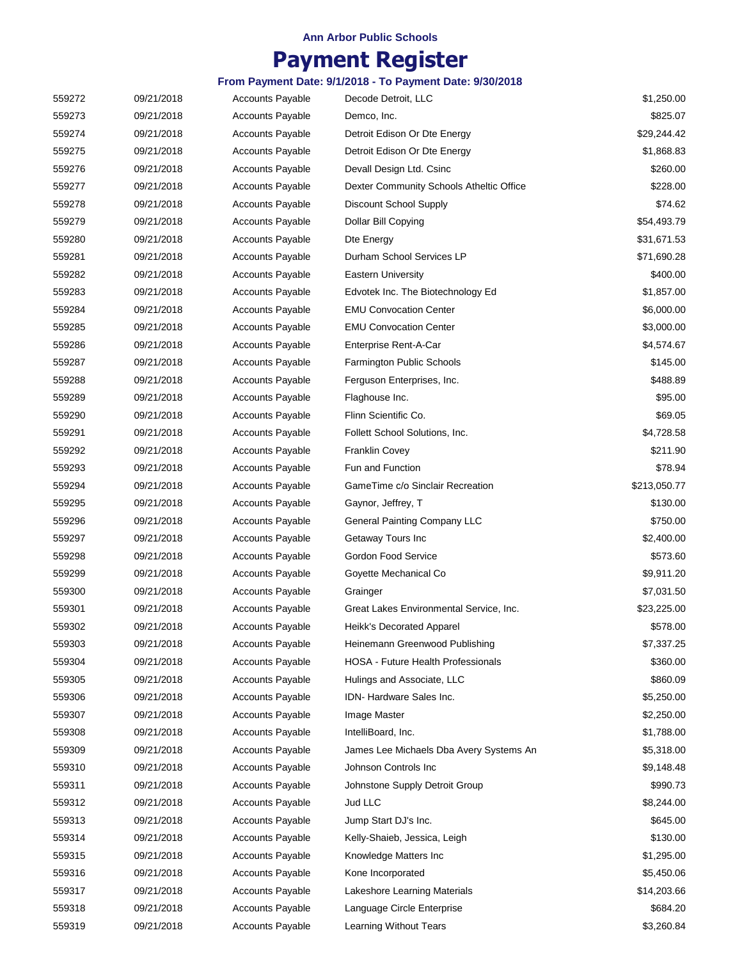## **Payment Register**

| 559272 | 09/21/2018 | <b>Accounts Payable</b> | Decode Detroit, LLC                      | \$1,250.00   |
|--------|------------|-------------------------|------------------------------------------|--------------|
| 559273 | 09/21/2018 | <b>Accounts Payable</b> | Demco, Inc.                              | \$825.07     |
| 559274 | 09/21/2018 | <b>Accounts Payable</b> | Detroit Edison Or Dte Energy             | \$29,244.42  |
| 559275 | 09/21/2018 | <b>Accounts Payable</b> | Detroit Edison Or Dte Energy             | \$1,868.83   |
| 559276 | 09/21/2018 | <b>Accounts Payable</b> | Devall Design Ltd. Csinc                 | \$260.00     |
| 559277 | 09/21/2018 | <b>Accounts Payable</b> | Dexter Community Schools Atheltic Office | \$228.00     |
| 559278 | 09/21/2018 | <b>Accounts Payable</b> | Discount School Supply                   | \$74.62      |
| 559279 | 09/21/2018 | <b>Accounts Payable</b> | Dollar Bill Copying                      | \$54,493.79  |
| 559280 | 09/21/2018 | <b>Accounts Payable</b> | Dte Energy                               | \$31,671.53  |
| 559281 | 09/21/2018 | <b>Accounts Payable</b> | Durham School Services LP                | \$71,690.28  |
| 559282 | 09/21/2018 | <b>Accounts Payable</b> | <b>Eastern University</b>                | \$400.00     |
| 559283 | 09/21/2018 | <b>Accounts Payable</b> | Edvotek Inc. The Biotechnology Ed        | \$1,857.00   |
| 559284 | 09/21/2018 | <b>Accounts Payable</b> | <b>EMU Convocation Center</b>            | \$6,000.00   |
| 559285 | 09/21/2018 | <b>Accounts Payable</b> | <b>EMU Convocation Center</b>            | \$3,000.00   |
| 559286 | 09/21/2018 | <b>Accounts Payable</b> | Enterprise Rent-A-Car                    | \$4,574.67   |
| 559287 | 09/21/2018 | <b>Accounts Payable</b> | Farmington Public Schools                | \$145.00     |
| 559288 | 09/21/2018 | <b>Accounts Payable</b> | Ferguson Enterprises, Inc.               | \$488.89     |
| 559289 | 09/21/2018 | Accounts Payable        | Flaghouse Inc.                           | \$95.00      |
| 559290 | 09/21/2018 | <b>Accounts Payable</b> | Flinn Scientific Co.                     | \$69.05      |
| 559291 | 09/21/2018 | <b>Accounts Payable</b> | Follett School Solutions, Inc.           | \$4,728.58   |
| 559292 | 09/21/2018 | <b>Accounts Payable</b> | <b>Franklin Covey</b>                    | \$211.90     |
| 559293 | 09/21/2018 | <b>Accounts Payable</b> | Fun and Function                         | \$78.94      |
| 559294 | 09/21/2018 | <b>Accounts Payable</b> | GameTime c/o Sinclair Recreation         | \$213,050.77 |
| 559295 | 09/21/2018 | <b>Accounts Payable</b> | Gaynor, Jeffrey, T                       | \$130.00     |
| 559296 | 09/21/2018 | Accounts Payable        | General Painting Company LLC             | \$750.00     |
| 559297 | 09/21/2018 | <b>Accounts Payable</b> | Getaway Tours Inc                        | \$2,400.00   |
| 559298 | 09/21/2018 | <b>Accounts Payable</b> | Gordon Food Service                      | \$573.60     |
| 559299 | 09/21/2018 | <b>Accounts Payable</b> | Goyette Mechanical Co                    | \$9,911.20   |
| 559300 | 09/21/2018 | <b>Accounts Payable</b> | Grainger                                 | \$7,031.50   |
| 559301 | 09/21/2018 | <b>Accounts Payable</b> | Great Lakes Environmental Service, Inc.  | \$23,225.00  |
| 559302 | 09/21/2018 | <b>Accounts Payable</b> | Heikk's Decorated Apparel                | \$578.00     |
| 559303 | 09/21/2018 | <b>Accounts Payable</b> | Heinemann Greenwood Publishing           | \$7,337.25   |
| 559304 | 09/21/2018 | <b>Accounts Payable</b> | HOSA - Future Health Professionals       | \$360.00     |
| 559305 | 09/21/2018 | <b>Accounts Payable</b> | Hulings and Associate, LLC               | \$860.09     |
| 559306 | 09/21/2018 | <b>Accounts Payable</b> | IDN-Hardware Sales Inc.                  | \$5,250.00   |
| 559307 | 09/21/2018 | <b>Accounts Payable</b> | Image Master                             | \$2,250.00   |
| 559308 | 09/21/2018 | <b>Accounts Payable</b> | IntelliBoard, Inc.                       | \$1,788.00   |
| 559309 | 09/21/2018 | <b>Accounts Payable</b> | James Lee Michaels Dba Avery Systems An  | \$5,318.00   |
| 559310 | 09/21/2018 | <b>Accounts Payable</b> | Johnson Controls Inc                     | \$9,148.48   |
| 559311 | 09/21/2018 | <b>Accounts Payable</b> | Johnstone Supply Detroit Group           | \$990.73     |
| 559312 | 09/21/2018 | <b>Accounts Payable</b> | Jud LLC                                  | \$8,244.00   |
| 559313 | 09/21/2018 | <b>Accounts Payable</b> | Jump Start DJ's Inc.                     | \$645.00     |
| 559314 | 09/21/2018 | <b>Accounts Payable</b> | Kelly-Shaieb, Jessica, Leigh             | \$130.00     |
| 559315 | 09/21/2018 | <b>Accounts Payable</b> | Knowledge Matters Inc                    | \$1,295.00   |
| 559316 | 09/21/2018 | <b>Accounts Payable</b> | Kone Incorporated                        | \$5,450.06   |
| 559317 | 09/21/2018 | <b>Accounts Payable</b> | Lakeshore Learning Materials             | \$14,203.66  |
| 559318 | 09/21/2018 | <b>Accounts Payable</b> | Language Circle Enterprise               | \$684.20     |
| 559319 | 09/21/2018 | <b>Accounts Payable</b> | Learning Without Tears                   | \$3,260.84   |
|        |            |                         |                                          |              |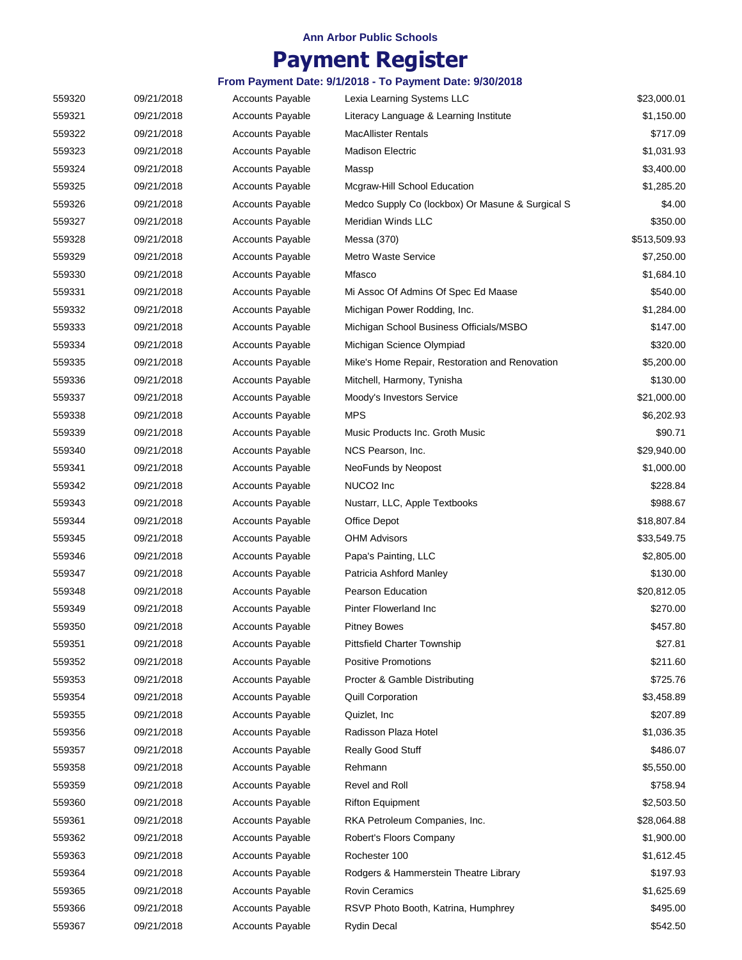# **Payment Register**

| 559320 | 09/21/2018 | <b>Accounts Payable</b> | Lexia Learning Systems LLC                       | \$23,000.01  |
|--------|------------|-------------------------|--------------------------------------------------|--------------|
| 559321 | 09/21/2018 | <b>Accounts Payable</b> | Literacy Language & Learning Institute           | \$1,150.00   |
| 559322 | 09/21/2018 | <b>Accounts Payable</b> | <b>MacAllister Rentals</b>                       | \$717.09     |
| 559323 | 09/21/2018 | <b>Accounts Payable</b> | Madison Electric                                 | \$1,031.93   |
| 559324 | 09/21/2018 | <b>Accounts Payable</b> | Massp                                            | \$3,400.00   |
| 559325 | 09/21/2018 | <b>Accounts Payable</b> | Mcgraw-Hill School Education                     | \$1,285.20   |
| 559326 | 09/21/2018 | <b>Accounts Payable</b> | Medco Supply Co (lockbox) Or Masune & Surgical S | \$4.00       |
| 559327 | 09/21/2018 | <b>Accounts Payable</b> | Meridian Winds LLC                               | \$350.00     |
| 559328 | 09/21/2018 | <b>Accounts Payable</b> | Messa (370)                                      | \$513,509.93 |
| 559329 | 09/21/2018 | <b>Accounts Payable</b> | <b>Metro Waste Service</b>                       | \$7,250.00   |
| 559330 | 09/21/2018 | <b>Accounts Payable</b> | Mfasco                                           | \$1,684.10   |
| 559331 | 09/21/2018 | <b>Accounts Payable</b> | Mi Assoc Of Admins Of Spec Ed Maase              | \$540.00     |
| 559332 | 09/21/2018 | <b>Accounts Payable</b> | Michigan Power Rodding, Inc.                     | \$1,284.00   |
| 559333 | 09/21/2018 | <b>Accounts Payable</b> | Michigan School Business Officials/MSBO          | \$147.00     |
| 559334 | 09/21/2018 | <b>Accounts Payable</b> | Michigan Science Olympiad                        | \$320.00     |
| 559335 | 09/21/2018 | <b>Accounts Payable</b> | Mike's Home Repair, Restoration and Renovation   | \$5,200.00   |
|        | 09/21/2018 |                         |                                                  | \$130.00     |
| 559336 |            | <b>Accounts Payable</b> | Mitchell, Harmony, Tynisha                       |              |
| 559337 | 09/21/2018 | <b>Accounts Payable</b> | Moody's Investors Service                        | \$21,000.00  |
| 559338 | 09/21/2018 | <b>Accounts Payable</b> | <b>MPS</b>                                       | \$6,202.93   |
| 559339 | 09/21/2018 | <b>Accounts Payable</b> | Music Products Inc. Groth Music                  | \$90.71      |
| 559340 | 09/21/2018 | <b>Accounts Payable</b> | NCS Pearson, Inc.                                | \$29,940.00  |
| 559341 | 09/21/2018 | <b>Accounts Payable</b> | NeoFunds by Neopost                              | \$1,000.00   |
| 559342 | 09/21/2018 | <b>Accounts Payable</b> | NUCO <sub>2</sub> Inc                            | \$228.84     |
| 559343 | 09/21/2018 | <b>Accounts Payable</b> | Nustarr, LLC, Apple Textbooks                    | \$988.67     |
| 559344 | 09/21/2018 | <b>Accounts Payable</b> | Office Depot                                     | \$18,807.84  |
| 559345 | 09/21/2018 | <b>Accounts Payable</b> | OHM Advisors                                     | \$33,549.75  |
| 559346 | 09/21/2018 | <b>Accounts Payable</b> | Papa's Painting, LLC                             | \$2,805.00   |
| 559347 | 09/21/2018 | <b>Accounts Payable</b> | Patricia Ashford Manley                          | \$130.00     |
| 559348 | 09/21/2018 | <b>Accounts Payable</b> | <b>Pearson Education</b>                         | \$20,812.05  |
| 559349 | 09/21/2018 | <b>Accounts Payable</b> | <b>Pinter Flowerland Inc.</b>                    | \$270.00     |
| 559350 | 09/21/2018 | <b>Accounts Payable</b> | <b>Pitney Bowes</b>                              | \$457.80     |
| 559351 | 09/21/2018 | <b>Accounts Payable</b> | <b>Pittsfield Charter Township</b>               | \$27.81      |
| 559352 | 09/21/2018 | <b>Accounts Payable</b> | <b>Positive Promotions</b>                       | \$211.60     |
| 559353 | 09/21/2018 | <b>Accounts Payable</b> | Procter & Gamble Distributing                    | \$725.76     |
| 559354 | 09/21/2018 | <b>Accounts Payable</b> | <b>Quill Corporation</b>                         | \$3,458.89   |
| 559355 | 09/21/2018 | <b>Accounts Payable</b> | Quizlet, Inc                                     | \$207.89     |
| 559356 | 09/21/2018 | <b>Accounts Payable</b> | Radisson Plaza Hotel                             | \$1,036.35   |
| 559357 | 09/21/2018 | <b>Accounts Payable</b> | Really Good Stuff                                | \$486.07     |
| 559358 | 09/21/2018 | <b>Accounts Payable</b> | Rehmann                                          | \$5,550.00   |
| 559359 | 09/21/2018 | <b>Accounts Payable</b> | Revel and Roll                                   | \$758.94     |
| 559360 | 09/21/2018 | <b>Accounts Payable</b> | <b>Rifton Equipment</b>                          | \$2,503.50   |
| 559361 | 09/21/2018 | <b>Accounts Payable</b> | RKA Petroleum Companies, Inc.                    | \$28,064.88  |
| 559362 | 09/21/2018 | <b>Accounts Payable</b> | Robert's Floors Company                          | \$1,900.00   |
| 559363 | 09/21/2018 | <b>Accounts Payable</b> | Rochester 100                                    | \$1,612.45   |
| 559364 | 09/21/2018 | <b>Accounts Payable</b> | Rodgers & Hammerstein Theatre Library            | \$197.93     |
| 559365 | 09/21/2018 | <b>Accounts Payable</b> | <b>Rovin Ceramics</b>                            | \$1,625.69   |
| 559366 | 09/21/2018 | <b>Accounts Payable</b> | RSVP Photo Booth, Katrina, Humphrey              | \$495.00     |
| 559367 | 09/21/2018 | <b>Accounts Payable</b> | <b>Rydin Decal</b>                               | \$542.50     |
|        |            |                         |                                                  |              |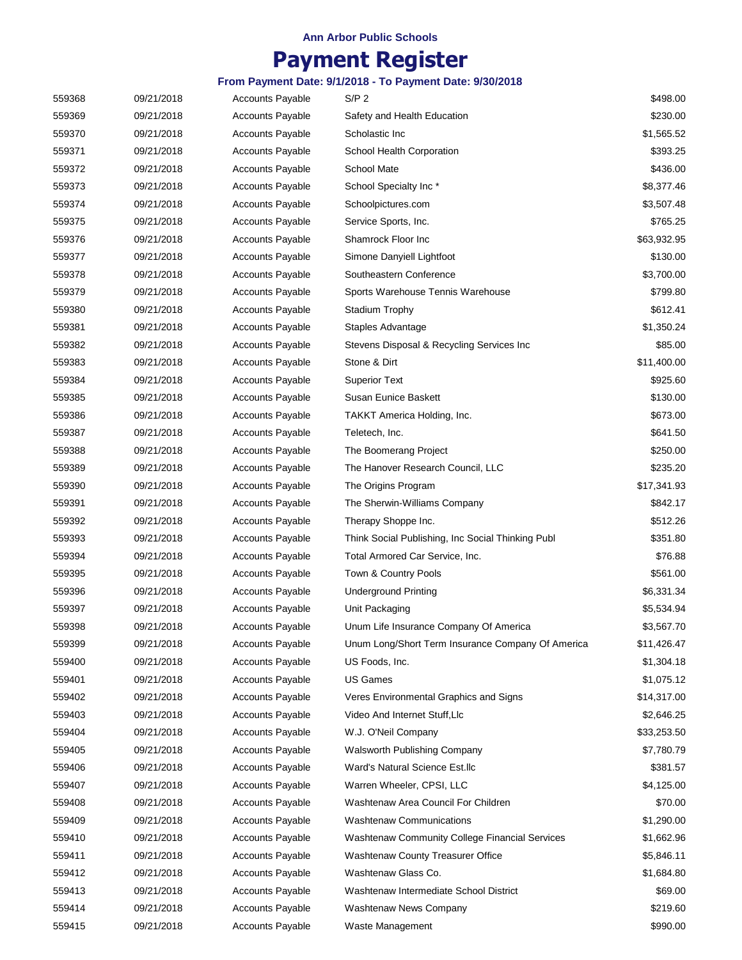# **Payment Register**

| 559368 | 09/21/2018 | <b>Accounts Payable</b> | S/P 2                                             | \$498.00    |
|--------|------------|-------------------------|---------------------------------------------------|-------------|
| 559369 | 09/21/2018 | <b>Accounts Payable</b> | Safety and Health Education                       | \$230.00    |
| 559370 | 09/21/2018 | <b>Accounts Payable</b> | Scholastic Inc                                    | \$1,565.52  |
| 559371 | 09/21/2018 | <b>Accounts Payable</b> | School Health Corporation                         | \$393.25    |
| 559372 | 09/21/2018 | <b>Accounts Payable</b> | <b>School Mate</b>                                | \$436.00    |
| 559373 | 09/21/2018 | <b>Accounts Payable</b> | School Specialty Inc*                             | \$8,377.46  |
| 559374 | 09/21/2018 | <b>Accounts Payable</b> | Schoolpictures.com                                | \$3,507.48  |
| 559375 | 09/21/2018 | <b>Accounts Payable</b> | Service Sports, Inc.                              | \$765.25    |
| 559376 | 09/21/2018 | <b>Accounts Payable</b> | Shamrock Floor Inc                                | \$63,932.95 |
| 559377 | 09/21/2018 | <b>Accounts Payable</b> | Simone Danyiell Lightfoot                         | \$130.00    |
| 559378 | 09/21/2018 | <b>Accounts Payable</b> | Southeastern Conference                           | \$3,700.00  |
| 559379 | 09/21/2018 | <b>Accounts Payable</b> | Sports Warehouse Tennis Warehouse                 | \$799.80    |
| 559380 | 09/21/2018 | <b>Accounts Payable</b> | <b>Stadium Trophy</b>                             | \$612.41    |
| 559381 | 09/21/2018 | <b>Accounts Payable</b> | Staples Advantage                                 | \$1,350.24  |
| 559382 | 09/21/2018 | <b>Accounts Payable</b> | Stevens Disposal & Recycling Services Inc         | \$85.00     |
| 559383 | 09/21/2018 | <b>Accounts Payable</b> | Stone & Dirt                                      | \$11,400.00 |
| 559384 | 09/21/2018 | <b>Accounts Payable</b> | <b>Superior Text</b>                              | \$925.60    |
| 559385 | 09/21/2018 | <b>Accounts Payable</b> | <b>Susan Eunice Baskett</b>                       | \$130.00    |
| 559386 | 09/21/2018 | <b>Accounts Payable</b> | TAKKT America Holding, Inc.                       | \$673.00    |
| 559387 | 09/21/2018 | <b>Accounts Payable</b> | Teletech, Inc.                                    | \$641.50    |
| 559388 | 09/21/2018 | <b>Accounts Payable</b> | The Boomerang Project                             | \$250.00    |
|        |            |                         | The Hanover Research Council, LLC                 |             |
| 559389 | 09/21/2018 | <b>Accounts Payable</b> |                                                   | \$235.20    |
| 559390 | 09/21/2018 | <b>Accounts Payable</b> | The Origins Program                               | \$17,341.93 |
| 559391 | 09/21/2018 | <b>Accounts Payable</b> | The Sherwin-Williams Company                      | \$842.17    |
| 559392 | 09/21/2018 | <b>Accounts Payable</b> | Therapy Shoppe Inc.                               | \$512.26    |
| 559393 | 09/21/2018 | <b>Accounts Payable</b> | Think Social Publishing, Inc Social Thinking Publ | \$351.80    |
| 559394 | 09/21/2018 | <b>Accounts Payable</b> | Total Armored Car Service, Inc.                   | \$76.88     |
| 559395 | 09/21/2018 | <b>Accounts Payable</b> | Town & Country Pools                              | \$561.00    |
| 559396 | 09/21/2018 | <b>Accounts Payable</b> | <b>Underground Printing</b>                       | \$6,331.34  |
| 559397 | 09/21/2018 | <b>Accounts Payable</b> | Unit Packaging                                    | \$5,534.94  |
| 559398 | 09/21/2018 | <b>Accounts Payable</b> | Unum Life Insurance Company Of America            | \$3,567.70  |
| 559399 | 09/21/2018 | <b>Accounts Payable</b> | Unum Long/Short Term Insurance Company Of America | \$11,426.47 |
| 559400 | 09/21/2018 | <b>Accounts Payable</b> | US Foods, Inc.                                    | \$1,304.18  |
| 559401 | 09/21/2018 | <b>Accounts Payable</b> | US Games                                          | \$1,075.12  |
| 559402 | 09/21/2018 | <b>Accounts Payable</b> | Veres Environmental Graphics and Signs            | \$14,317.00 |
| 559403 | 09/21/2018 | <b>Accounts Payable</b> | Video And Internet Stuff, Llc                     | \$2,646.25  |
| 559404 | 09/21/2018 | <b>Accounts Payable</b> | W.J. O'Neil Company                               | \$33,253.50 |
| 559405 | 09/21/2018 | <b>Accounts Payable</b> | Walsworth Publishing Company                      | \$7,780.79  |
| 559406 | 09/21/2018 | <b>Accounts Payable</b> | Ward's Natural Science Est.llc                    | \$381.57    |
| 559407 | 09/21/2018 | <b>Accounts Payable</b> | Warren Wheeler, CPSI, LLC                         | \$4,125.00  |
| 559408 | 09/21/2018 | <b>Accounts Payable</b> | Washtenaw Area Council For Children               | \$70.00     |
| 559409 | 09/21/2018 | <b>Accounts Payable</b> | <b>Washtenaw Communications</b>                   | \$1,290.00  |
| 559410 | 09/21/2018 | <b>Accounts Payable</b> | Washtenaw Community College Financial Services    | \$1,662.96  |
| 559411 | 09/21/2018 | <b>Accounts Payable</b> | Washtenaw County Treasurer Office                 | \$5,846.11  |
| 559412 | 09/21/2018 | <b>Accounts Payable</b> | Washtenaw Glass Co.                               | \$1,684.80  |
| 559413 | 09/21/2018 | <b>Accounts Payable</b> | Washtenaw Intermediate School District            | \$69.00     |
| 559414 | 09/21/2018 | <b>Accounts Payable</b> | Washtenaw News Company                            | \$219.60    |
| 559415 | 09/21/2018 | Accounts Payable        | Waste Management                                  | \$990.00    |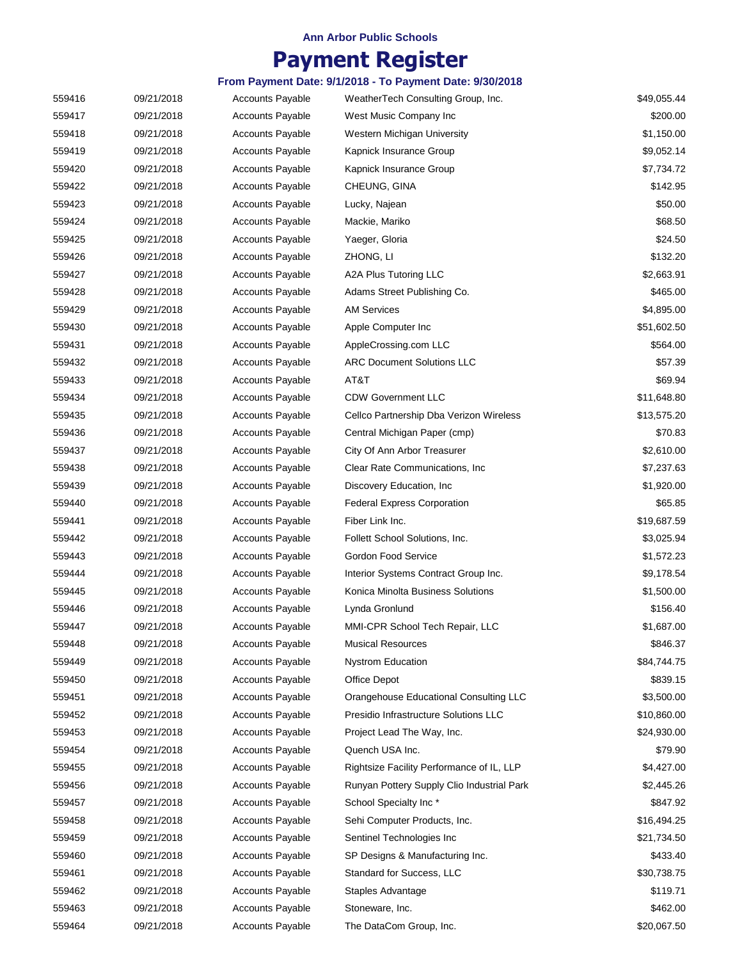# **Payment Register**

| 559416 | 09/21/2018 | <b>Accounts Payable</b> | WeatherTech Consulting Group, Inc.         | \$49,055.44 |
|--------|------------|-------------------------|--------------------------------------------|-------------|
| 559417 | 09/21/2018 | <b>Accounts Payable</b> | West Music Company Inc                     | \$200.00    |
| 559418 | 09/21/2018 | <b>Accounts Payable</b> | Western Michigan University                | \$1,150.00  |
| 559419 | 09/21/2018 | <b>Accounts Payable</b> | Kapnick Insurance Group                    | \$9,052.14  |
| 559420 | 09/21/2018 | <b>Accounts Payable</b> | Kapnick Insurance Group                    | \$7,734.72  |
| 559422 | 09/21/2018 | <b>Accounts Payable</b> | CHEUNG, GINA                               | \$142.95    |
| 559423 | 09/21/2018 | <b>Accounts Payable</b> | Lucky, Najean                              | \$50.00     |
| 559424 | 09/21/2018 | <b>Accounts Payable</b> | Mackie, Mariko                             | \$68.50     |
| 559425 | 09/21/2018 | <b>Accounts Payable</b> | Yaeger, Gloria                             | \$24.50     |
| 559426 | 09/21/2018 | Accounts Payable        | ZHONG, LI                                  | \$132.20    |
| 559427 | 09/21/2018 | <b>Accounts Payable</b> | A2A Plus Tutoring LLC                      | \$2,663.91  |
| 559428 | 09/21/2018 | <b>Accounts Payable</b> | Adams Street Publishing Co.                | \$465.00    |
| 559429 | 09/21/2018 | <b>Accounts Payable</b> | <b>AM Services</b>                         | \$4,895.00  |
| 559430 | 09/21/2018 | <b>Accounts Payable</b> | Apple Computer Inc                         | \$51,602.50 |
| 559431 | 09/21/2018 | <b>Accounts Payable</b> | AppleCrossing.com LLC                      | \$564.00    |
| 559432 | 09/21/2018 | <b>Accounts Payable</b> | <b>ARC Document Solutions LLC</b>          | \$57.39     |
| 559433 | 09/21/2018 | <b>Accounts Payable</b> | AT&T                                       | \$69.94     |
| 559434 | 09/21/2018 | <b>Accounts Payable</b> | <b>CDW Government LLC</b>                  | \$11,648.80 |
| 559435 | 09/21/2018 | <b>Accounts Payable</b> | Cellco Partnership Dba Verizon Wireless    | \$13,575.20 |
| 559436 | 09/21/2018 | <b>Accounts Payable</b> | Central Michigan Paper (cmp)               | \$70.83     |
| 559437 | 09/21/2018 | <b>Accounts Payable</b> | City Of Ann Arbor Treasurer                | \$2,610.00  |
| 559438 | 09/21/2018 | <b>Accounts Payable</b> | Clear Rate Communications, Inc.            | \$7,237.63  |
| 559439 | 09/21/2018 | <b>Accounts Payable</b> | Discovery Education, Inc.                  | \$1,920.00  |
| 559440 | 09/21/2018 | <b>Accounts Payable</b> | <b>Federal Express Corporation</b>         | \$65.85     |
| 559441 | 09/21/2018 | <b>Accounts Payable</b> | Fiber Link Inc.                            | \$19,687.59 |
| 559442 | 09/21/2018 | <b>Accounts Payable</b> | Follett School Solutions, Inc.             | \$3,025.94  |
| 559443 | 09/21/2018 | <b>Accounts Payable</b> | Gordon Food Service                        | \$1,572.23  |
| 559444 | 09/21/2018 | <b>Accounts Payable</b> | Interior Systems Contract Group Inc.       | \$9,178.54  |
| 559445 | 09/21/2018 | Accounts Payable        | Konica Minolta Business Solutions          | \$1,500.00  |
| 559446 | 09/21/2018 | <b>Accounts Payable</b> | Lynda Gronlund                             | \$156.40    |
| 559447 | 09/21/2018 | <b>Accounts Payable</b> | MMI-CPR School Tech Repair, LLC            | \$1,687.00  |
| 559448 | 09/21/2018 | <b>Accounts Payable</b> | <b>Musical Resources</b>                   | \$846.37    |
| 559449 | 09/21/2018 | <b>Accounts Payable</b> | <b>Nystrom Education</b>                   | \$84,744.75 |
| 559450 | 09/21/2018 | <b>Accounts Payable</b> | Office Depot                               | \$839.15    |
| 559451 | 09/21/2018 | <b>Accounts Payable</b> | Orangehouse Educational Consulting LLC     | \$3,500.00  |
| 559452 | 09/21/2018 | <b>Accounts Payable</b> | Presidio Infrastructure Solutions LLC      | \$10,860.00 |
| 559453 | 09/21/2018 | <b>Accounts Payable</b> | Project Lead The Way, Inc.                 | \$24,930.00 |
| 559454 | 09/21/2018 | <b>Accounts Payable</b> | Quench USA Inc.                            | \$79.90     |
| 559455 | 09/21/2018 | <b>Accounts Payable</b> | Rightsize Facility Performance of IL, LLP  | \$4,427.00  |
| 559456 | 09/21/2018 | <b>Accounts Payable</b> | Runyan Pottery Supply Clio Industrial Park | \$2,445.26  |
| 559457 | 09/21/2018 | <b>Accounts Payable</b> | School Specialty Inc*                      | \$847.92    |
| 559458 | 09/21/2018 | <b>Accounts Payable</b> | Sehi Computer Products, Inc.               | \$16,494.25 |
| 559459 | 09/21/2018 | <b>Accounts Payable</b> | Sentinel Technologies Inc                  | \$21,734.50 |
| 559460 | 09/21/2018 | <b>Accounts Payable</b> | SP Designs & Manufacturing Inc.            | \$433.40    |
| 559461 | 09/21/2018 | <b>Accounts Payable</b> | Standard for Success, LLC                  | \$30,738.75 |
| 559462 | 09/21/2018 | <b>Accounts Payable</b> | Staples Advantage                          | \$119.71    |
| 559463 | 09/21/2018 | <b>Accounts Payable</b> | Stoneware, Inc.                            | \$462.00    |
| 559464 | 09/21/2018 | <b>Accounts Payable</b> | The DataCom Group, Inc.                    | \$20,067.50 |
|        |            |                         |                                            |             |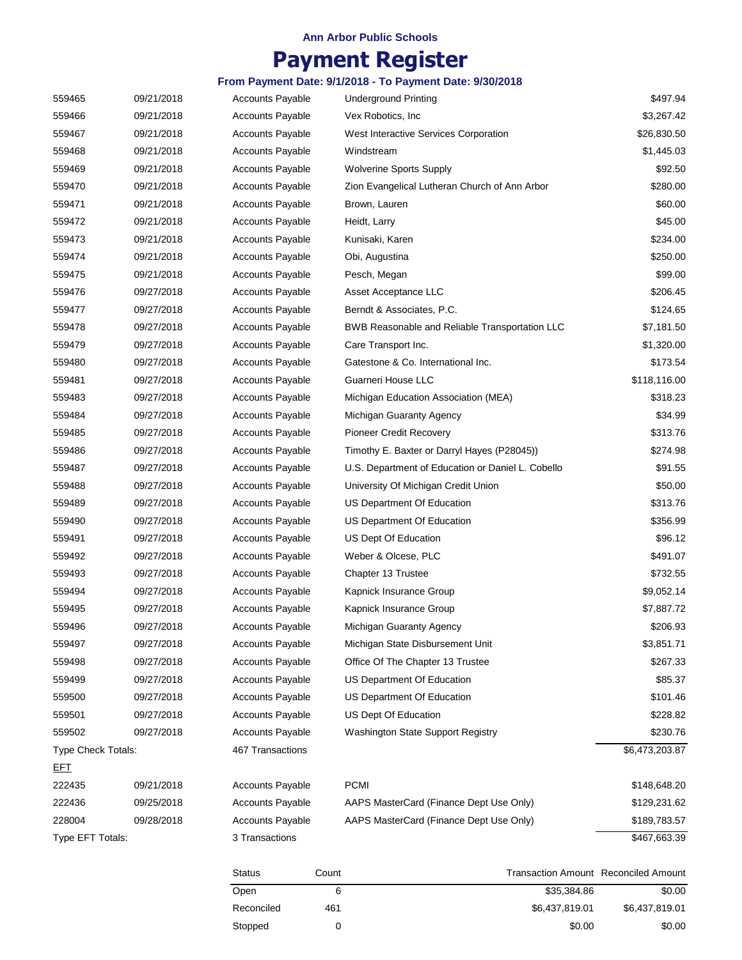# **Payment Register**

| 559465                    | 09/21/2018 | <b>Accounts Payable</b> | <b>Underground Printing</b>                       | \$497.94       |
|---------------------------|------------|-------------------------|---------------------------------------------------|----------------|
| 559466                    | 09/21/2018 | <b>Accounts Payable</b> | Vex Robotics, Inc.                                | \$3,267.42     |
| 559467                    | 09/21/2018 | <b>Accounts Payable</b> | West Interactive Services Corporation             | \$26,830.50    |
| 559468                    | 09/21/2018 | <b>Accounts Payable</b> | Windstream                                        | \$1,445.03     |
| 559469                    | 09/21/2018 | <b>Accounts Payable</b> | <b>Wolverine Sports Supply</b>                    | \$92.50        |
| 559470                    | 09/21/2018 | <b>Accounts Payable</b> | Zion Evangelical Lutheran Church of Ann Arbor     | \$280.00       |
| 559471                    | 09/21/2018 | <b>Accounts Payable</b> | Brown, Lauren                                     | \$60.00        |
| 559472                    | 09/21/2018 | <b>Accounts Payable</b> | Heidt, Larry                                      | \$45.00        |
| 559473                    | 09/21/2018 | <b>Accounts Payable</b> | Kunisaki, Karen                                   | \$234.00       |
| 559474                    | 09/21/2018 | <b>Accounts Payable</b> | Obi, Augustina                                    | \$250.00       |
| 559475                    | 09/21/2018 | <b>Accounts Payable</b> | Pesch, Megan                                      | \$99.00        |
| 559476                    | 09/27/2018 | <b>Accounts Payable</b> | Asset Acceptance LLC                              | \$206.45       |
| 559477                    | 09/27/2018 | <b>Accounts Payable</b> | Berndt & Associates, P.C.                         | \$124.65       |
| 559478                    | 09/27/2018 | <b>Accounts Payable</b> | BWB Reasonable and Reliable Transportation LLC    | \$7,181.50     |
| 559479                    | 09/27/2018 | <b>Accounts Payable</b> | Care Transport Inc.                               | \$1,320.00     |
| 559480                    | 09/27/2018 | <b>Accounts Payable</b> | Gatestone & Co. International Inc.                | \$173.54       |
| 559481                    | 09/27/2018 | <b>Accounts Payable</b> | Guarneri House LLC                                | \$118,116.00   |
| 559483                    | 09/27/2018 | <b>Accounts Payable</b> | Michigan Education Association (MEA)              | \$318.23       |
| 559484                    | 09/27/2018 | <b>Accounts Payable</b> | Michigan Guaranty Agency                          | \$34.99        |
| 559485                    | 09/27/2018 | <b>Accounts Payable</b> | <b>Pioneer Credit Recovery</b>                    | \$313.76       |
| 559486                    | 09/27/2018 | <b>Accounts Payable</b> | Timothy E. Baxter or Darryl Hayes (P28045))       | \$274.98       |
| 559487                    | 09/27/2018 | <b>Accounts Payable</b> | U.S. Department of Education or Daniel L. Cobello | \$91.55        |
| 559488                    | 09/27/2018 | <b>Accounts Payable</b> | University Of Michigan Credit Union               | \$50.00        |
| 559489                    | 09/27/2018 | <b>Accounts Payable</b> | US Department Of Education                        | \$313.76       |
| 559490                    | 09/27/2018 | <b>Accounts Payable</b> | US Department Of Education                        | \$356.99       |
| 559491                    | 09/27/2018 | <b>Accounts Payable</b> | US Dept Of Education                              | \$96.12        |
| 559492                    | 09/27/2018 | <b>Accounts Payable</b> | Weber & Olcese, PLC                               | \$491.07       |
| 559493                    | 09/27/2018 | <b>Accounts Payable</b> | Chapter 13 Trustee                                | \$732.55       |
| 559494                    | 09/27/2018 | <b>Accounts Payable</b> | Kapnick Insurance Group                           | \$9,052.14     |
| 559495                    | 09/27/2018 | <b>Accounts Payable</b> | Kapnick Insurance Group                           | \$7,887.72     |
| 559496                    | 09/27/2018 | <b>Accounts Payable</b> | Michigan Guaranty Agency                          | \$206.93       |
| 559497                    | 09/27/2018 | <b>Accounts Payable</b> | Michigan State Disbursement Unit                  | \$3,851.71     |
| 559498                    | 09/27/2018 | <b>Accounts Payable</b> | Office Of The Chapter 13 Trustee                  | \$267.33       |
| 559499                    | 09/27/2018 | <b>Accounts Payable</b> | US Department Of Education                        | \$85.37        |
| 559500                    | 09/27/2018 | <b>Accounts Payable</b> | US Department Of Education                        | \$101.46       |
| 559501                    | 09/27/2018 | <b>Accounts Payable</b> | US Dept Of Education                              | \$228.82       |
| 559502                    | 09/27/2018 | <b>Accounts Payable</b> | Washington State Support Registry                 | \$230.76       |
| <b>Type Check Totals:</b> |            | 467 Transactions        |                                                   | \$6,473,203.87 |
| <u>EFT</u>                |            |                         |                                                   |                |
| 222435                    | 09/21/2018 | <b>Accounts Payable</b> | <b>PCMI</b>                                       | \$148,648.20   |
| 222436                    | 09/25/2018 | Accounts Payable        | AAPS MasterCard (Finance Dept Use Only)           | \$129,231.62   |
| 228004                    | 09/28/2018 | <b>Accounts Payable</b> | AAPS MasterCard (Finance Dept Use Only)           | \$189,783.57   |
| Type EFT Totals:          |            | 3 Transactions          |                                                   | \$467,663.39   |

| <b>Status</b> | Count | <b>Transaction Amount Reconciled Amount</b> |                |
|---------------|-------|---------------------------------------------|----------------|
| Open          |       | \$35,384.86                                 | \$0.00         |
| Reconciled    | 461   | \$6.437.819.01                              | \$6.437.819.01 |
| Stopped       |       | \$0.00                                      | \$0.00         |